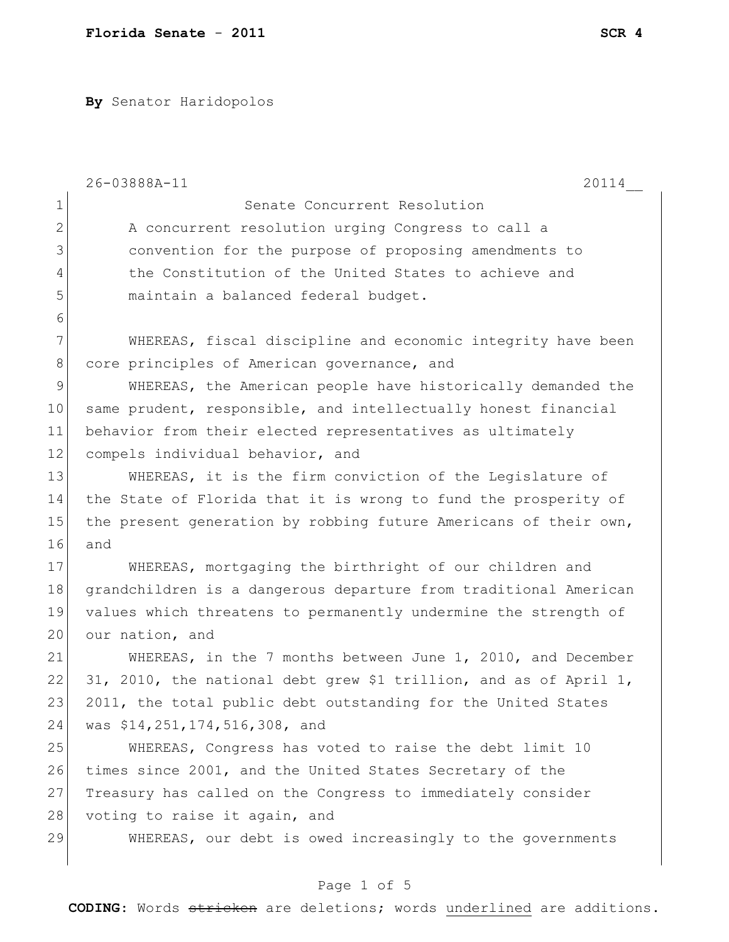**By** Senator Haridopolos

|              | 26-03888A-11<br>20114                                             |
|--------------|-------------------------------------------------------------------|
| $\mathbf 1$  | Senate Concurrent Resolution                                      |
| $\mathbf{2}$ | A concurrent resolution urging Congress to call a                 |
| 3            | convention for the purpose of proposing amendments to             |
| 4            | the Constitution of the United States to achieve and              |
| 5            | maintain a balanced federal budget.                               |
| 6            |                                                                   |
| 7            | WHEREAS, fiscal discipline and economic integrity have been       |
| $8\,$        | core principles of American governance, and                       |
| 9            | WHEREAS, the American people have historically demanded the       |
| 10           | same prudent, responsible, and intellectually honest financial    |
| 11           | behavior from their elected representatives as ultimately         |
| 12           | compels individual behavior, and                                  |
| 13           | WHEREAS, it is the firm conviction of the Legislature of          |
| 14           | the State of Florida that it is wrong to fund the prosperity of   |
| 15           | the present generation by robbing future Americans of their own,  |
| 16           | and                                                               |
| 17           | WHEREAS, mortgaging the birthright of our children and            |
| 18           | grandchildren is a dangerous departure from traditional American  |
| 19           | values which threatens to permanently undermine the strength of   |
| 20           | our nation, and                                                   |
| 21           | WHEREAS, in the 7 months between June 1, 2010, and December       |
| 22           | 31, 2010, the national debt grew \$1 trillion, and as of April 1, |
| 23           | 2011, the total public debt outstanding for the United States     |
| 24           | was \$14,251,174,516,308, and                                     |
| 25           | WHEREAS, Congress has voted to raise the debt limit 10            |
| 26           | times since 2001, and the United States Secretary of the          |
| 27           | Treasury has called on the Congress to immediately consider       |
| 28           | voting to raise it again, and                                     |
| 29           | WHEREAS, our debt is owed increasingly to the governments         |
|              |                                                                   |

## Page 1 of 5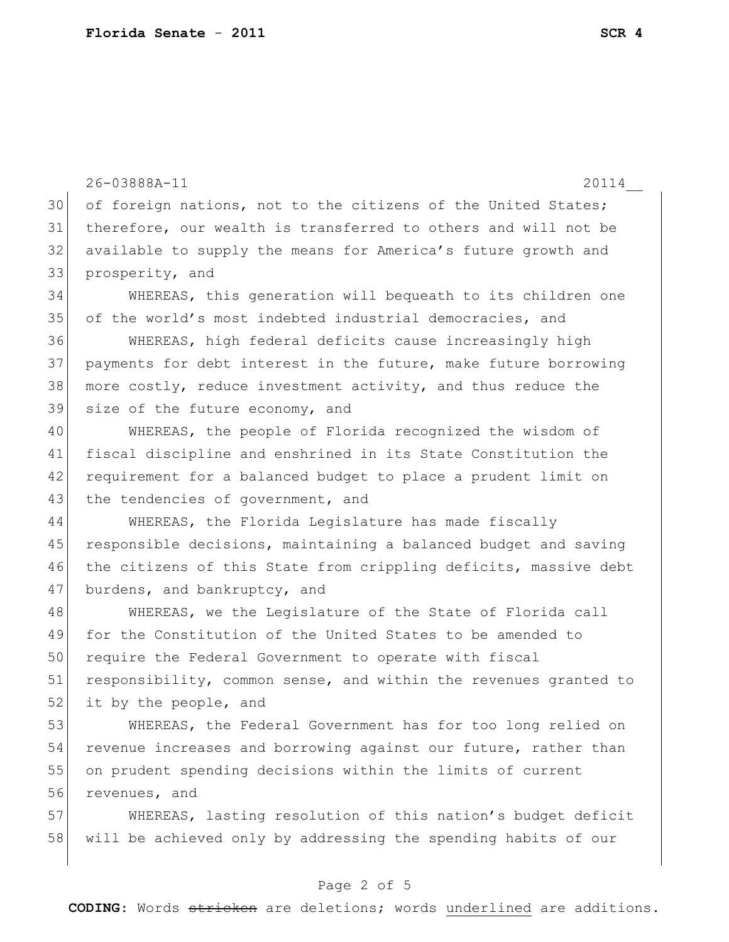$\overline{\phantom{a}}$ 

|    | 26-03888A-11<br>20114                                            |
|----|------------------------------------------------------------------|
| 30 | of foreign nations, not to the citizens of the United States;    |
| 31 | therefore, our wealth is transferred to others and will not be   |
| 32 | available to supply the means for America's future growth and    |
| 33 | prosperity, and                                                  |
| 34 | WHEREAS, this generation will bequeath to its children one       |
| 35 | of the world's most indebted industrial democracies, and         |
| 36 | WHEREAS, high federal deficits cause increasingly high           |
| 37 | payments for debt interest in the future, make future borrowing  |
| 38 | more costly, reduce investment activity, and thus reduce the     |
| 39 | size of the future economy, and                                  |
| 40 | WHEREAS, the people of Florida recognized the wisdom of          |
| 41 | fiscal discipline and enshrined in its State Constitution the    |
| 42 | requirement for a balanced budget to place a prudent limit on    |
| 43 | the tendencies of government, and                                |
| 44 | WHEREAS, the Florida Legislature has made fiscally               |
| 45 | responsible decisions, maintaining a balanced budget and saving  |
| 46 | the citizens of this State from crippling deficits, massive debt |
| 47 | burdens, and bankruptcy, and                                     |
| 48 | WHEREAS, we the Legislature of the State of Florida call         |
| 49 | for the Constitution of the United States to be amended to       |
| 50 | require the Federal Government to operate with fiscal            |
| 51 | responsibility, common sense, and within the revenues granted to |
| 52 | it by the people, and                                            |
| 53 | WHEREAS, the Federal Government has for too long relied on       |
| 54 | revenue increases and borrowing against our future, rather than  |
| 55 | on prudent spending decisions within the limits of current       |
| 56 | revenues, and                                                    |
| 57 | WHEREAS, lasting resolution of this nation's budget deficit      |
| 58 | will be achieved only by addressing the spending habits of our   |

## Page 2 of 5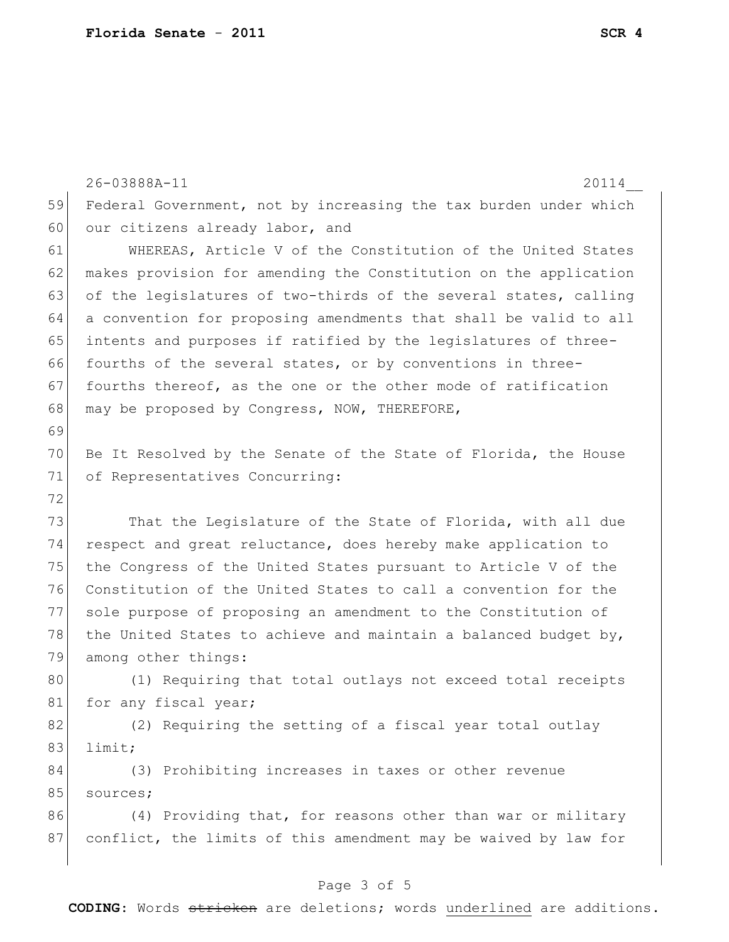26-03888A-11 20114\_\_ 59 Federal Government, not by increasing the tax burden under which 60 our citizens already labor, and 61 WHEREAS, Article V of the Constitution of the United States 62 makes provision for amending the Constitution on the application 63 of the legislatures of two-thirds of the several states, calling 64 a convention for proposing amendments that shall be valid to all 65 intents and purposes if ratified by the legislatures of three-66 fourths of the several states, or by conventions in three-67 fourths thereof, as the one or the other mode of ratification 68 may be proposed by Congress, NOW, THEREFORE, 69 70 Be It Resolved by the Senate of the State of Florida, the House 71 of Representatives Concurring: 72 73 That the Legislature of the State of Florida, with all due 74 respect and great reluctance, does hereby make application to 75 the Congress of the United States pursuant to Article V of the 76 Constitution of the United States to call a convention for the 77 sole purpose of proposing an amendment to the Constitution of 78 the United States to achieve and maintain a balanced budget by, 79 among other things: 80 (1) Requiring that total outlays not exceed total receipts 81 for any fiscal year; 82 (2) Requiring the setting of a fiscal year total outlay 83 limit; 84 (3) Prohibiting increases in taxes or other revenue 85 sources; 86 (4) Providing that, for reasons other than war or military 87 conflict, the limits of this amendment may be waived by law for

## Page 3 of 5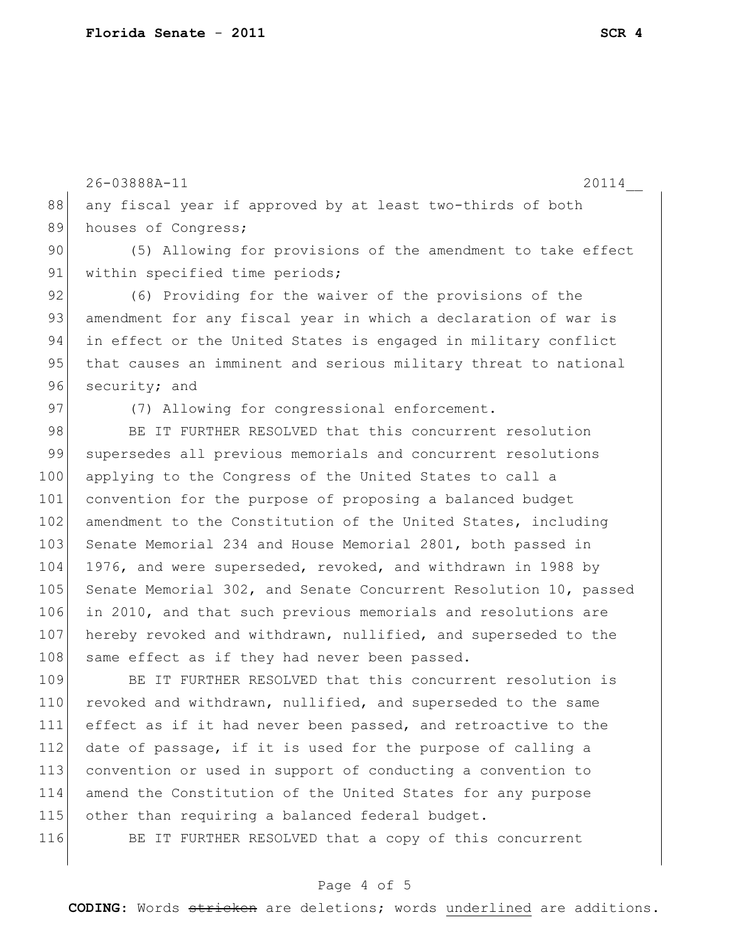26-03888A-11 20114\_\_

88 any fiscal year if approved by at least two-thirds of both 89 houses of Congress;

90 (5) Allowing for provisions of the amendment to take effect 91 within specified time periods;

92 (6) Providing for the waiver of the provisions of the 93 amendment for any fiscal year in which a declaration of war is 94 in effect or the United States is engaged in military conflict 95 that causes an imminent and serious military threat to national 96 security; and

97 (7) Allowing for congressional enforcement.

98 BE IT FURTHER RESOLVED that this concurrent resolution 99 supersedes all previous memorials and concurrent resolutions 100 applying to the Congress of the United States to call a 101 convention for the purpose of proposing a balanced budget 102 amendment to the Constitution of the United States, including 103 Senate Memorial 234 and House Memorial 2801, both passed in 104 1976, and were superseded, revoked, and withdrawn in 1988 by 105 Senate Memorial 302, and Senate Concurrent Resolution 10, passed 106 in 2010, and that such previous memorials and resolutions are 107 hereby revoked and withdrawn, nullified, and superseded to the 108 same effect as if they had never been passed.

109 BE IT FURTHER RESOLVED that this concurrent resolution is 110 revoked and withdrawn, nullified, and superseded to the same 111 effect as if it had never been passed, and retroactive to the  $112$  date of passage, if it is used for the purpose of calling a 113 convention or used in support of conducting a convention to 114 amend the Constitution of the United States for any purpose 115 other than requiring a balanced federal budget.

116 BE IT FURTHER RESOLVED that a copy of this concurrent

## Page 4 of 5